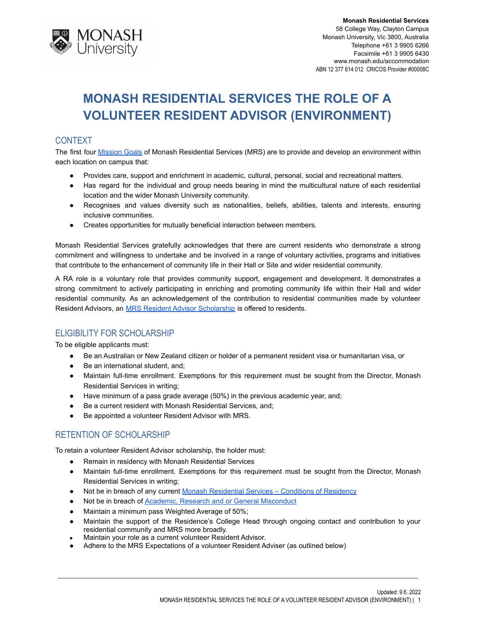

# **MONASH RESIDENTIAL SERVICES THE ROLE OF A VOLUNTEER RESIDENT ADVISOR (ENVIRONMENT)**

## **CONTEXT**

The first four **[Mission](http://www.monash.edu/accommodation/contact/about-us) Goals of Monash Residential Services (MRS)** are to provide and develop an environment within each location on campus that:

- Provides care, support and enrichment in academic, cultural, personal, social and recreational matters.
- Has regard for the individual and group needs bearing in mind the multicultural nature of each residential location and the wider Monash University community.
- Recognises and values diversity such as nationalities, beliefs, abilities, talents and interests, ensuring inclusive communities.
- Creates opportunities for mutually beneficial interaction between members.

Monash Residential Services gratefully acknowledges that there are current residents who demonstrate a strong commitment and willingness to undertake and be involved in a range of voluntary activities, programs and initiatives that contribute to the enhancement of community life in their Hall or Site and wider residential community.

A RA role is a voluntary role that provides community support, engagement and development. It demonstrates a strong commitment to actively participating in enriching and promoting community life within their Hall and wider residential community. As an acknowledgement of the contribution to residential communities made by volunteer Resident Advisors, an [MRS Resident Advisor Scholarship](https://www.monash.edu/study/fees-scholarships/scholarships/find-a-scholarship/mrs-residential-advisor-scholarship-5692) is offered to residents.

# ELIGIBILITY FOR SCHOLARSHIP

To be eligible applicants must:

- Be an Australian or New Zealand citizen or holder of a permanent resident visa or humanitarian visa, or
- Be an international student, and;
- Maintain full-time enrollment. Exemptions for this requirement must be sought from the Director, Monash Residential Services in writing;
- Have minimum of a pass grade average (50%) in the previous academic year, and;
- Be a current resident with Monash Residential Services, and;
- Be appointed a volunteer Resident Advisor with MRS.

# RETENTION OF SCHOLARSHIP

To retain a volunteer Resident Advisor scholarship, the holder must:

- Remain in residency with Monash Residential Services
- Maintain full-time enrollment. Exemptions for this requirement must be sought from the Director, Monash Residential Services in writing;
- Not be in breach of any current Monash Residential [Services Conditions of Residency](https://www.monash.edu/accommodation/accommodation/regulations-and-policies/conditions-of-residency)
- Not be in breach of **[Academic, Research and or General](https://mga.monash.edu/get-help/advocacy/misconduct/) Misconduct**
- Maintain a minimum pass Weighted Average of 50%;
- Maintain the support of the Residence's College Head through ongoing contact and contribution to your residential community and MRS more broadly.
- Maintain your role as a current volunteer Resident Advisor.
- Adhere to the MRS Expectations of a volunteer Resident Adviser (as outlined below)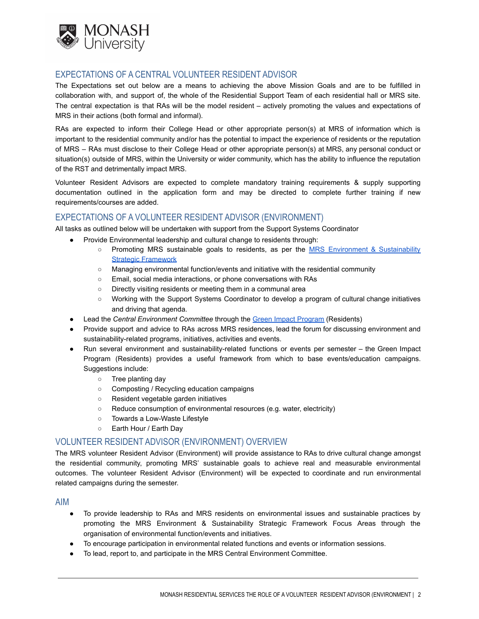

## EXPECTATIONS OF A CENTRAL VOLUNTEER RESIDENT ADVISOR

The Expectations set out below are a means to achieving the above Mission Goals and are to be fulfilled in collaboration with, and support of, the whole of the Residential Support Team of each residential hall or MRS site. The central expectation is that RAs will be the model resident – actively promoting the values and expectations of MRS in their actions (both formal and informal).

RAs are expected to inform their College Head or other appropriate person(s) at MRS of information which is important to the residential community and/or has the potential to impact the experience of residents or the reputation of MRS – RAs must disclose to their College Head or other appropriate person(s) at MRS, any personal conduct or situation(s) outside of MRS, within the University or wider community, which has the ability to influence the reputation of the RST and detrimentally impact MRS.

Volunteer Resident Advisors are expected to complete mandatory training requirements & supply supporting documentation outlined in the application form and may be directed to complete further training if new requirements/courses are added.

## EXPECTATIONS OF A VOLUNTEER RESIDENT ADVISOR (ENVIRONMENT)

All tasks as outlined below will be undertaken with support from the Support Systems Coordinator

- Provide Environmental leadership and cultural change to residents through:
	- Promoting MRS sustainable goals to residents, as per the MRS Environment & [Sustainability](https://drive.google.com/file/d/1CLie9KGVbsiRoLnCDajz4HkgTZ7vXWa4/view?usp=sharing) [Strategic Framework](https://drive.google.com/file/d/1CLie9KGVbsiRoLnCDajz4HkgTZ7vXWa4/view?usp=sharing)
	- Managing environmental function/events and initiative with the residential community
	- Email, social media interactions, or phone conversations with RAs
	- Directly visiting residents or meeting them in a communal area
	- Working with the Support Systems Coordinator to develop a program of cultural change initiatives and driving that agenda.
- Lead the *Central Environment Committee* through the [Green Impact Program](https://sites.google.com/monash.edu/green-impact-resources) (Residents)
- Provide support and advice to RAs across MRS residences, lead the forum for discussing environment and sustainability-related programs, initiatives, activities and events.
- Run several environment and sustainability-related functions or events per semester the Green Impact Program (Residents) provides a useful framework from which to base events/education campaigns. Suggestions include:
	- Tree planting day
	- Composting / Recycling education campaigns
	- Resident vegetable garden initiatives
	- Reduce consumption of environmental resources (e.g. water, electricity)
	- Towards a Low-Waste Lifestyle
	- Earth Hour / Earth Day

#### VOLUNTEER RESIDENT ADVISOR (ENVIRONMENT) OVERVIEW

The MRS volunteer Resident Advisor (Environment) will provide assistance to RAs to drive cultural change amongst the residential community, promoting MRS' sustainable goals to achieve real and measurable environmental outcomes. The volunteer Resident Advisor (Environment) will be expected to coordinate and run environmental related campaigns during the semester.

#### AIM

- To provide leadership to RAs and MRS residents on environmental issues and sustainable practices by promoting the MRS Environment & Sustainability Strategic Framework Focus Areas through the organisation of environmental function/events and initiatives.
- To encourage participation in environmental related functions and events or information sessions.
- To lead, report to, and participate in the MRS Central Environment Committee.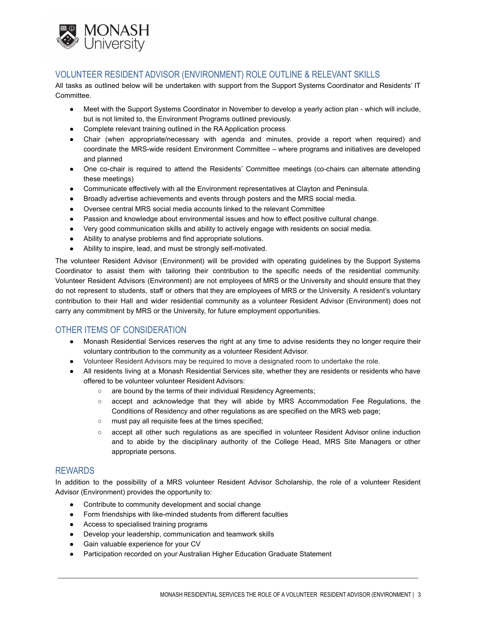

# VOLUNTEER RESIDENT ADVISOR (ENVIRONMENT) ROLE OUTLINE & RELEVANT SKILLS

All tasks as outlined below will be undertaken with support from the Support Systems Coordinator and Residents' IT Committee.

- Meet with the Support Systems Coordinator in November to develop a yearly action plan which will include, but is not limited to, the Environment Programs outlined previously.
- Complete relevant training outlined in the RA Application process
- Chair (when appropriate/necessary with agenda and minutes, provide a report when required) and coordinate the MRS-wide resident Environment Committee – where programs and initiatives are developed and planned
- One co-chair is required to attend the Residents' Committee meetings (co-chairs can alternate attending these meetings)
- Communicate effectively with all the Environment representatives at Clayton and Peninsula.
- Broadly advertise achievements and events through posters and the MRS social media.
- Oversee central MRS social media accounts linked to the relevant Committee
- Passion and knowledge about environmental issues and how to effect positive cultural change.
- Very good communication skills and ability to actively engage with residents on social media.
- Ability to analyse problems and find appropriate solutions.
- Ability to inspire, lead, and must be strongly self-motivated.

The volunteer Resident Advisor (Environment) will be provided with operating guidelines by the Support Systems Coordinator to assist them with tailoring their contribution to the specific needs of the residential community. Volunteer Resident Advisors (Environment) are not employees of MRS or the University and should ensure that they do not represent to students, staff or others that they are employees of MRS or the University. A resident's voluntary contribution to their Hall and wider residential community as a volunteer Resident Advisor (Environment) does not carry any commitment by MRS or the University, for future employment opportunities.

## OTHER ITEMS OF CONSIDERATION

- Monash Residential Services reserves the right at any time to advise residents they no longer require their voluntary contribution to the community as a volunteer Resident Advisor.
- Volunteer Resident Advisors may be required to move a designated room to undertake the role.
- All residents living at a Monash Residential Services site, whether they are residents or residents who have offered to be volunteer volunteer Resident Advisors:
	- are bound by the terms of their individual Residency Agreements;
	- accept and acknowledge that they will abide by MRS Accommodation Fee Regulations, the Conditions of Residency and other regulations as are specified on the MRS web page;
	- must pay all requisite fees at the times specified;
	- accept all other such regulations as are specified in volunteer Resident Advisor online induction and to abide by the disciplinary authority of the College Head, MRS Site Managers or other appropriate persons.

## REWARDS

In addition to the possibility of a MRS volunteer Resident Advisor Scholarship, the role of a volunteer Resident Advisor (Environment) provides the opportunity to:

- Contribute to community development and social change
- Form friendships with like-minded students from different faculties
- Access to specialised training programs
- Develop your leadership, communication and teamwork skills
- Gain valuable experience for your CV
- Participation recorded on your Australian Higher Education Graduate Statement